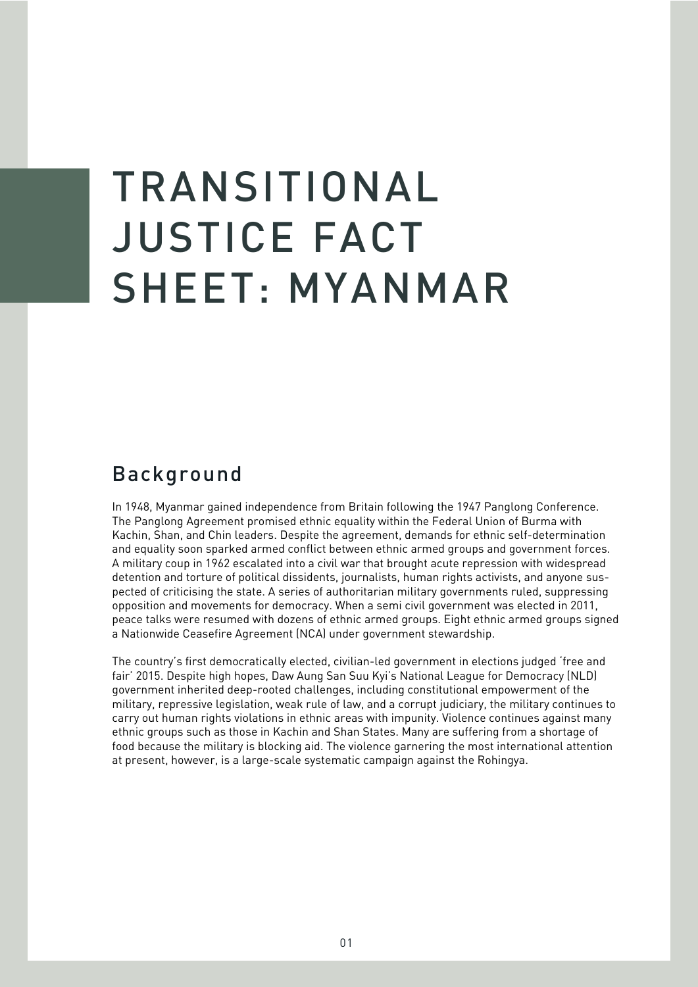## TRANSITIONAL JUSTICE FACT SHEET: MYANMAR

## Background

In 1948, Myanmar gained independence from Britain following the 1947 Panglong Conference. The Panglong Agreement promised ethnic equality within the Federal Union of Burma with Kachin, Shan, and Chin leaders. Despite the agreement, demands for ethnic self-determination and equality soon sparked armed conflict between ethnic armed groups and government forces. A military coup in 1962 escalated into a civil war that brought acute repression with widespread detention and torture of political dissidents, journalists, human rights activists, and anyone suspected of criticising the state. A series of authoritarian military governments ruled, suppressing opposition and movements for democracy. When a semi civil government was elected in 2011, peace talks were resumed with dozens of ethnic armed groups. Eight ethnic armed groups signed a Nationwide Ceasefire Agreement (NCA) under government stewardship.

The country's first democratically elected, civilian-led government in elections judged 'free and fair' 2015. Despite high hopes, Daw Aung San Suu Kyi's National League for Democracy (NLD) government inherited deep-rooted challenges, including constitutional empowerment of the military, repressive legislation, weak rule of law, and a corrupt judiciary, the military continues to carry out human rights violations in ethnic areas with impunity. Violence continues against many ethnic groups such as those in Kachin and Shan States. Many are suffering from a shortage of food because the military is blocking aid. The violence garnering the most international attention at present, however, is a large-scale systematic campaign against the Rohingya.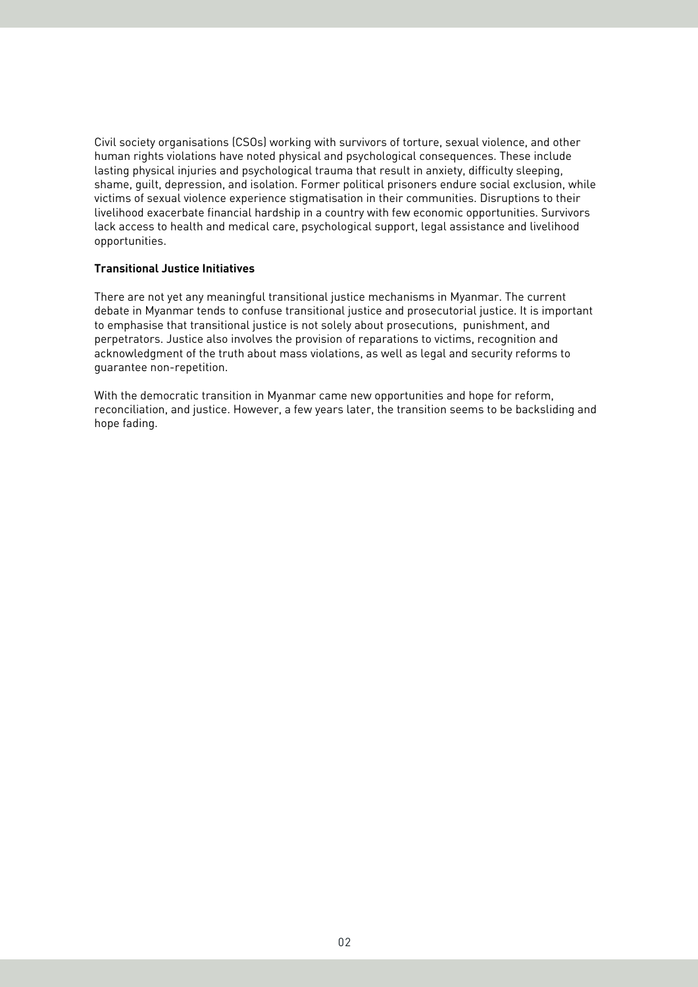Civil society organisations (CSOs) working with survivors of torture, sexual violence, and other human rights violations have noted physical and psychological consequences. These include lasting physical injuries and psychological trauma that result in anxiety, difficulty sleeping, shame, guilt, depression, and isolation. Former political prisoners endure social exclusion, while victims of sexual violence experience stigmatisation in their communities. Disruptions to their livelihood exacerbate financial hardship in a country with few economic opportunities. Survivors lack access to health and medical care, psychological support, legal assistance and livelihood opportunities.

## **Transitional Justice Initiatives**

There are not yet any meaningful transitional justice mechanisms in Myanmar. The current debate in Myanmar tends to confuse transitional justice and prosecutorial justice. It is important to emphasise that transitional justice is not solely about prosecutions, punishment, and perpetrators. Justice also involves the provision of reparations to victims, recognition and acknowledgment of the truth about mass violations, as well as legal and security reforms to guarantee non-repetition.

With the democratic transition in Myanmar came new opportunities and hope for reform, reconciliation, and justice. However, a few years later, the transition seems to be backsliding and hope fading.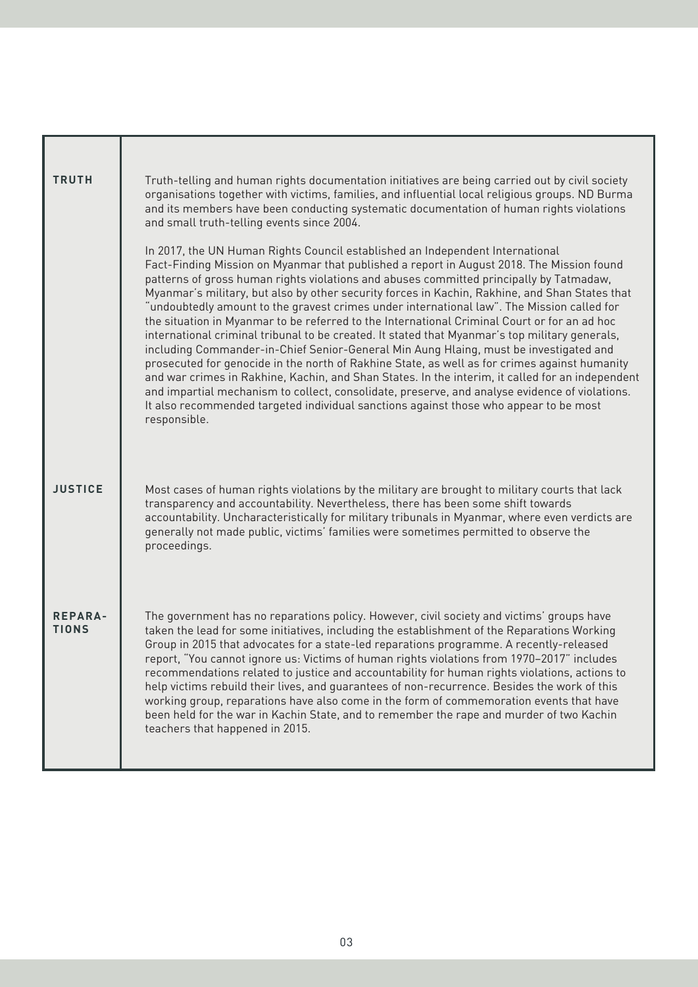| <b>TRUTH</b>                   | Truth-telling and human rights documentation initiatives are being carried out by civil society<br>organisations together with victims, families, and influential local religious groups. ND Burma<br>and its members have been conducting systematic documentation of human rights violations<br>and small truth-telling events since 2004.                                                                                                                                                                                                                                                                                                                                                                                                                                                                                                                                                                                                                                                                                                                                                                                                                                     |
|--------------------------------|----------------------------------------------------------------------------------------------------------------------------------------------------------------------------------------------------------------------------------------------------------------------------------------------------------------------------------------------------------------------------------------------------------------------------------------------------------------------------------------------------------------------------------------------------------------------------------------------------------------------------------------------------------------------------------------------------------------------------------------------------------------------------------------------------------------------------------------------------------------------------------------------------------------------------------------------------------------------------------------------------------------------------------------------------------------------------------------------------------------------------------------------------------------------------------|
|                                | In 2017, the UN Human Rights Council established an Independent International<br>Fact-Finding Mission on Myanmar that published a report in August 2018. The Mission found<br>patterns of gross human rights violations and abuses committed principally by Tatmadaw,<br>Myanmar's military, but also by other security forces in Kachin, Rakhine, and Shan States that<br>"undoubtedly amount to the gravest crimes under international law". The Mission called for<br>the situation in Myanmar to be referred to the International Criminal Court or for an ad hoc<br>international criminal tribunal to be created. It stated that Myanmar's top military generals,<br>including Commander-in-Chief Senior-General Min Aung Hlaing, must be investigated and<br>prosecuted for genocide in the north of Rakhine State, as well as for crimes against humanity<br>and war crimes in Rakhine, Kachin, and Shan States. In the interim, it called for an independent<br>and impartial mechanism to collect, consolidate, preserve, and analyse evidence of violations.<br>It also recommended targeted individual sanctions against those who appear to be most<br>responsible. |
| <b>JUSTICE</b>                 | Most cases of human rights violations by the military are brought to military courts that lack<br>transparency and accountability. Nevertheless, there has been some shift towards<br>accountability. Uncharacteristically for military tribunals in Myanmar, where even verdicts are<br>generally not made public, victims' families were sometimes permitted to observe the<br>proceedings.                                                                                                                                                                                                                                                                                                                                                                                                                                                                                                                                                                                                                                                                                                                                                                                    |
| <b>REPARA-</b><br><b>TIONS</b> | The government has no reparations policy. However, civil society and victims' groups have<br>taken the lead for some initiatives, including the establishment of the Reparations Working<br>Group in 2015 that advocates for a state-led reparations programme. A recently-released<br>report, "You cannot ignore us: Victims of human rights violations from 1970–2017" includes<br>recommendations related to justice and accountability for human rights violations, actions to<br>help victims rebuild their lives, and guarantees of non-recurrence. Besides the work of this<br>working group, reparations have also come in the form of commemoration events that have<br>been held for the war in Kachin State, and to remember the rape and murder of two Kachin<br>teachers that happened in 2015.                                                                                                                                                                                                                                                                                                                                                                     |